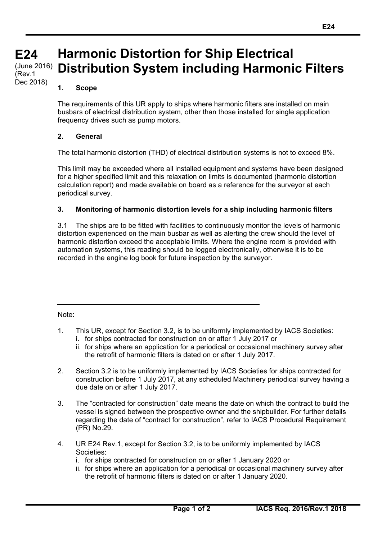#### **E24 E24 (cont)** (June 2016) **Harmonic Distortion for Ship Electrical Distribution System including Harmonic Filters**  (Rev.1

#### **1. Scope**

Dec 2018)

The requirements of this UR apply to ships where harmonic filters are installed on main busbars of electrical distribution system, other than those installed for single application frequency drives such as pump motors.

## **2. General**

The total harmonic distortion (THD) of electrical distribution systems is not to exceed 8%.

This limit may be exceeded where all installed equipment and systems have been designed for a higher specified limit and this relaxation on limits is documented (harmonic distortion calculation report) and made available on board as a reference for the surveyor at each periodical survey.

## **3. Monitoring of harmonic distortion levels for a ship including harmonic filters**

3.1 The ships are to be fitted with facilities to continuously monitor the levels of harmonic distortion experienced on the main busbar as well as alerting the crew should the level of harmonic distortion exceed the acceptable limits. Where the engine room is provided with automation systems, this reading should be logged electronically, otherwise it is to be recorded in the engine log book for future inspection by the surveyor.

#### Note:

 $\overline{a}$ 

- 1. This UR, except for Section 3.2, is to be uniformly implemented by IACS Societies:
	- i. for ships contracted for construction on or after 1 July 2017 or
	- ii. for ships where an application for a periodical or occasional machinery survey after the retrofit of harmonic filters is dated on or after 1 July 2017.
- 2. Section 3.2 is to be uniformly implemented by IACS Societies for ships contracted for construction before 1 July 2017, at any scheduled Machinery periodical survey having a due date on or after 1 July 2017.
- 3. The "contracted for construction" date means the date on which the contract to build the vessel is signed between the prospective owner and the shipbuilder. For further details regarding the date of "contract for construction", refer to IACS Procedural Requirement (PR) No.29.
- 4. UR E24 Rev.1, except for Section 3.2, is to be uniformly implemented by IACS Societies:
	- i. for ships contracted for construction on or after 1 January 2020 or
	- ii. for ships where an application for a periodical or occasional machinery survey after the retrofit of harmonic filters is dated on or after 1 January 2020.